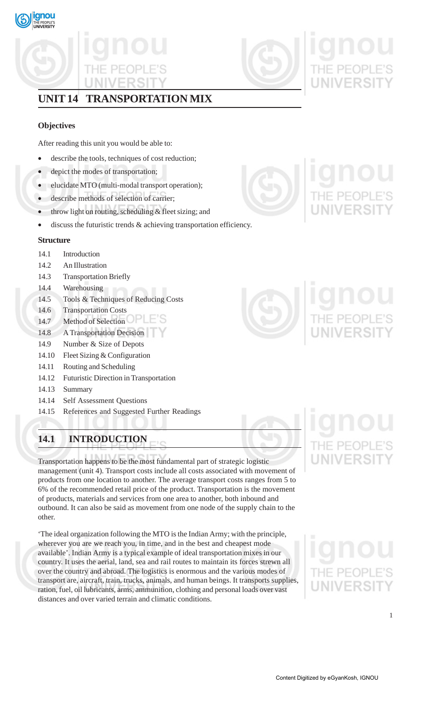

# **UNIT 14 TRANSPORTATION MIX**

# **Objectives**

After reading this unit you would be able to:

- describe the tools, techniques of cost reduction;
- depict the modes of transportation;
- elucidate MTO (multi-modal transport operation);
- describe methods of selection of carrier;
- throw light on routing, scheduling  $&$  fleet sizing; and
- discuss the futuristic trends  $\&$  achieving transportation efficiency.

# **Structure**

- 14.1 Introduction
- 14.2 An Illustration
- 14.3 Transportation Briefly
- 14.4 Warehousing
- 14.5 Tools & Techniques of Reducing Costs
- 14.6 Transportation Costs
- 14.7 Method of Selection
- 14.8 A Transportation Decision
- 14.9 Number & Size of Depots
- 14.10 Fleet Sizing & Configuration
- 14.11 Routing and Scheduling
- 14.12 Futuristic Direction in Transportation
- 14.13 Summary
- 14.14 Self Assessment Questions
- 14.15 References and Suggested Further Readings

# **14.1 INTRODUCTION**

Transportation happens to be the most fundamental part of strategic logistic management (unit 4). Transport costs include all costs associated with movement of products from one location to another. The average transport costs ranges from 5 to 6% of the recommended retail price of the product. Transportation is the movement of products, materials and services from one area to another, both inbound and outbound. It can also be said as movement from one node of the supply chain to the other.

'The ideal organization following the MTO is the Indian Army; with the principle, wherever you are we reach you, in time, and in the best and cheapest mode available'. Indian Army is a typical example of ideal transportation mixes in our country. It uses the aerial, land, sea and rail routes to maintain its forces strewn all over the country and abroad. The logistics is enormous and the various modes of transport are, aircraft, train, trucks, animals, and human beings. It transports supplies, ration, fuel, oil lubricants, arms, ammunition, clothing and personal loads over vast distances and over varied terrain and climatic conditions.



# **INIVERSI**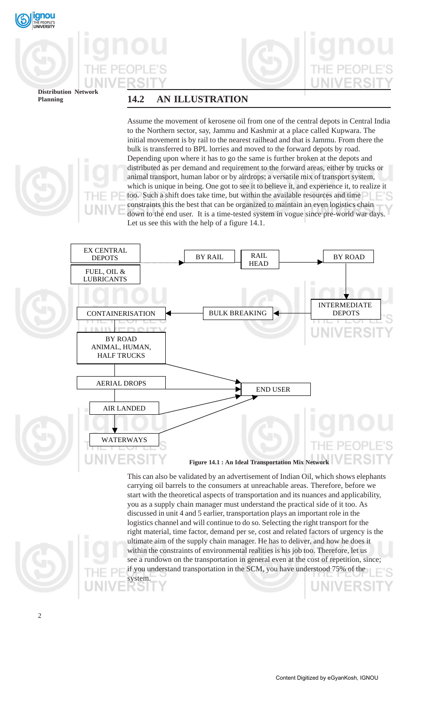



**Distribution Network**

# **Planning 14.2 AN ILLUSTRATION**

Assume the movement of kerosene oil from one of the central depots in Central India to the Northern sector, say, Jammu and Kashmir at a place called Kupwara. The initial movement is by rail to the nearest railhead and that is Jammu. From there the bulk is transferred to BPL lorries and moved to the forward depots by road. Depending upon where it has to go the same is further broken at the depots and distributed as per demand and requirement to the forward areas, either by trucks or animal transport, human labor or by airdrops; a versatile mix of transport system, which is unique in being. One got to see it to believe it, and experience it, to realize it too. Such a shift does take time, but within the available resources and time constraints this the best that can be organized to maintain an even logistics chain down to the end user. It is a time-tested system in vogue since pre-world war days. Let us see this with the help of a figure 14.1.



carrying oil barrels to the consumers at unreachable areas. Therefore, before we start with the theoretical aspects of transportation and its nuances and applicability, you as a supply chain manager must understand the practical side of it too. As discussed in unit 4 and 5 earlier, transportation plays an important role in the logistics channel and will continue to do so. Selecting the right transport for the right material, time factor, demand per se, cost and related factors of urgency is the ultimate aim of the supply chain manager. He has to deliver, and how he does it within the constraints of environmental realities is his job too. Therefore, let us see a rundown on the transportation in general even at the cost of repetition, since; if you understand transportation in the SCM, you have understood 75% of the system.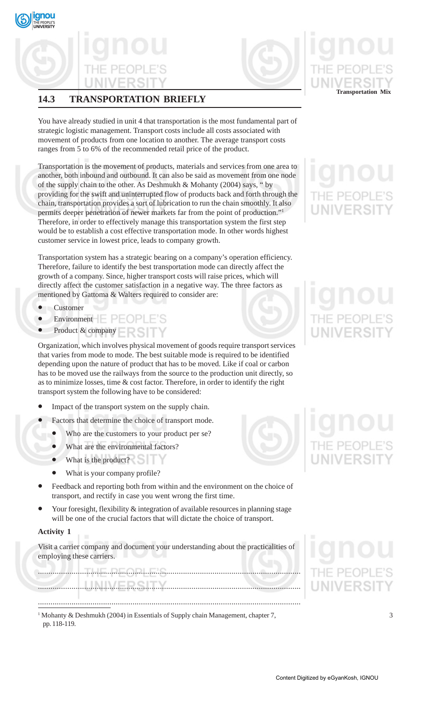

# **14.3 TRANSPORTATION BRIEFLY**

You have already studied in unit 4 that transportation is the most fundamental part of strategic logistic management. Transport costs include all costs associated with movement of products from one location to another. The average transport costs ranges from 5 to 6% of the recommended retail price of the product.

Transportation is the movement of products, materials and services from one area to another, both inbound and outbound. It can also be said as movement from one node of the supply chain to the other. As Deshmukh & Mohanty (2004) says, " by providing for the swift and uninterrupted flow of products back and forth through the chain, transportation provides a sort of lubrication to run the chain smoothly. It also permits deeper penetration of newer markets far from the point of production."1 Therefore, in order to effectively manage this transportation system the first step would be to establish a cost effective transportation mode. In other words highest customer service in lowest price, leads to company growth.

Transportation system has a strategic bearing on a company's operation efficiency. Therefore, failure to identify the best transportation mode can directly affect the growth of a company. Since, higher transport costs will raise prices, which will directly affect the customer satisfaction in a negative way. The three factors as mentioned by Gattoma & Walters required to consider are:

- **Customer**
- $\overline{\mathsf{Environment}}$   $\overline{\phantom{a}}$   $\overline{\phantom{a}}$   $\overline{\phantom{a}}$   $\overline{\phantom{a}}$   $\overline{\phantom{a}}$   $\overline{\phantom{a}}$   $\overline{\phantom{a}}$   $\overline{\phantom{a}}$   $\overline{\phantom{a}}$   $\overline{\phantom{a}}$   $\overline{\phantom{a}}$   $\overline{\phantom{a}}$   $\overline{\phantom{a}}$   $\overline{\phantom{a}}$   $\overline{\phantom{a}}$   $\overline{\phantom{a}}$   $\overline{\phantom{a}}$   $\overline$
- Product & company

Organization, which involves physical movement of goods require transport services that varies from mode to mode. The best suitable mode is required to be identified depending upon the nature of product that has to be moved. Like if coal or carbon has to be moved use the railways from the source to the production unit directly, so as to minimize losses, time & cost factor. Therefore, in order to identify the right transport system the following have to be considered:

- Impact of the transport system on the supply chain.
- Factors that determine the choice of transport mode.
	- Who are the customers to your product per se?
	- What are the environmental factors?
	- What is the product?
	- What is your company profile?
- Feedback and reporting both from within and the environment on the choice of transport, and rectify in case you went wrong the first time.
- Your foresight, flexibility & integration of available resources in planning stage will be one of the crucial factors that will dictate the choice of transport.

# **Activity 1**

Visit a carrier company and document your understanding about the practicalities of employing these carriers.

............................................................................................................................. ............................................................................................................................. .............................................................................................................................

<sup>1</sup> Mohanty & Deshmukh (2004) in Essentials of Supply chain Management, chapter 7, pp. 118-119.

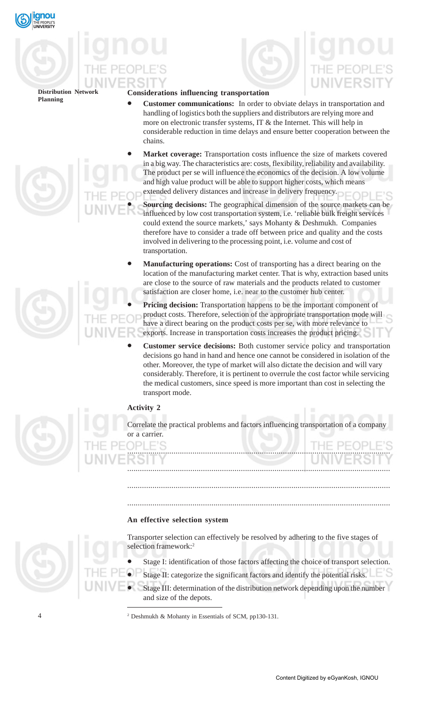



# **Considerations influencing transportation**

- **Customer communications:** In order to obviate delays in transportation and handling of logistics both the suppliers and distributors are relying more and more on electronic transfer systems, IT & the Internet. This will help in considerable reduction in time delays and ensure better cooperation between the chains.
- **Market coverage:** Transportation costs influence the size of markets covered in a big way. The characteristics are: costs, flexibility, reliability and availability. The product per se will influence the economics of the decision. A low volume and high value product will be able to support higher costs, which means extended delivery distances and increase in delivery frequency.
	- **Sourcing decisions:** The geographical dimension of the source markets can be influenced by low cost transportation system, i.e. 'reliable bulk freight services could extend the source markets,' says Mohanty & Deshmukh. Companies therefore have to consider a trade off between price and quality and the costs involved in delivering to the processing point, i.e. volume and cost of transportation.
- **Manufacturing operations:** Cost of transporting has a direct bearing on the location of the manufacturing market center. That is why, extraction based units are close to the source of raw materials and the products related to customer satisfaction are closer home, i.e. near to the customer hub center.

• **Pricing decision:** Transportation happens to be the important component of product costs. Therefore, selection of the appropriate transportation mode will have a direct bearing on the product costs per se, with more relevance to exports. Increase in transportation costs increases the product pricing.

• **Customer service decisions:** Both customer service policy and transportation decisions go hand in hand and hence one cannot be considered in isolation of the other. Moreover, the type of market will also dictate the decision and will vary considerably. Therefore, it is pertinent to overrule the cost factor while servicing the medical customers, since speed is more important than cost in selecting the transport mode.

# **Activity 2**

Correlate the practical problems and factors influencing transportation of a company or a carrier.

.............................................................................................................................

.............................................................................................................................

.............................................................................................................................

.............................................................................................................................

# **An effective selection system**

Transporter selection can effectively be resolved by adhering to the five stages of selection framework:<sup>2</sup>

- Stage I: identification of those factors affecting the choice of transport selection.
- Stage II: categorize the significant factors and identify the potential risks.
- Stage III: determination of the distribution network depending upon the number and size of the depots.

<sup>2</sup> Deshmukh & Mohanty in Essentials of SCM, pp130-131.



 $\overline{A}$ 



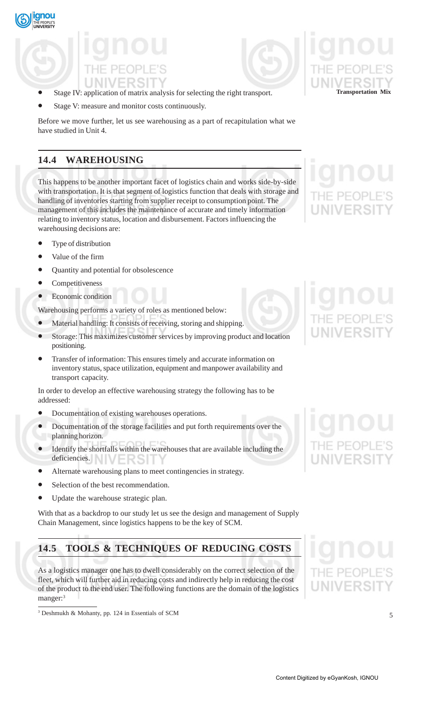

- Stage IV: application of matrix analysis for selecting the right transport. **Transportation Mix**
- Stage V: measure and monitor costs continuously.

Before we move further, let us see warehousing as a part of recapitulation what we have studied in Unit 4.

# **14.4 WAREHOUSING**

This happens to be another important facet of logistics chain and works side-by-side with transportation. It is that segment of logistics function that deals with storage and handling of inventories starting from supplier receipt to consumption point. The management of this includes the maintenance of accurate and timely information relating to inventory status, location and disbursement. Factors influencing the warehousing decisions are:

- Type of distribution
- Value of the firm
- Quantity and potential for obsolescence
- **Competitiveness**
- Economic condition

Warehousing performs a variety of roles as mentioned below:

- Material handling: It consists of receiving, storing and shipping.
- Storage: This maximizes customer services by improving product and location positioning.
- Transfer of information: This ensures timely and accurate information on inventory status, space utilization, equipment and manpower availability and transport capacity.

In order to develop an effective warehousing strategy the following has to be addressed:

- Documentation of existing warehouses operations.
- Documentation of the storage facilities and put forth requirements over the planning horizon.
- Identify the shortfalls within the warehouses that are available including the deficiencies.
- Alternate warehousing plans to meet contingencies in strategy.
- Selection of the best recommendation.
- Update the warehouse strategic plan.

With that as a backdrop to our study let us see the design and management of Supply Chain Management, since logistics happens to be the key of SCM.

# **14.5 TOOLS & TECHNIQUES OF REDUCING COSTS**

As a logistics manager one has to dwell considerably on the correct selection of the fleet, which will further aid in reducing costs and indirectly help in reducing the cost of the product to the end user. The following functions are the domain of the logistics manger:<sup>3</sup>





<sup>3</sup> Deshmukh & Mohanty, pp. 124 in Essentials of SCM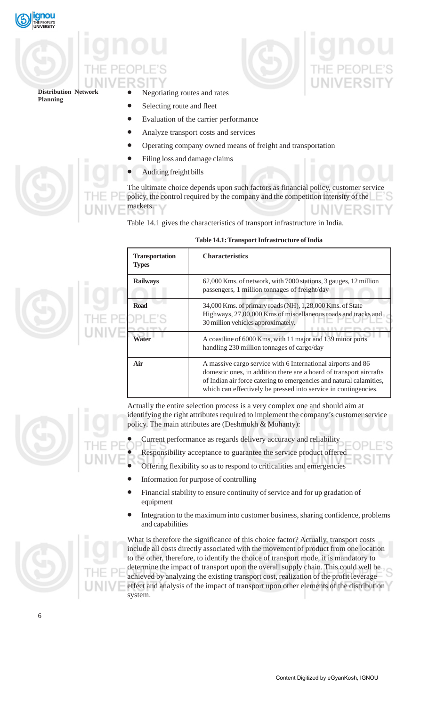



- Negotiating routes and rates
- Selecting route and fleet
- Evaluation of the carrier performance
- Analyze transport costs and services
- Operating company owned means of freight and transportation
- Filing loss and damage claims
- Auditing freight bills

The ultimate choice depends upon such factors as financial policy, customer service policy, the control required by the company and the competition intensity of the markets.

Table 14.1 gives the characteristics of transport infrastructure in India.

| <b>Transportation</b><br><b>Types</b> | <b>Characteristics</b>                                                                                                                                                                                                                                                        |
|---------------------------------------|-------------------------------------------------------------------------------------------------------------------------------------------------------------------------------------------------------------------------------------------------------------------------------|
| <b>Railways</b>                       | 62,000 Kms. of network, with 7000 stations, 3 gauges, 12 million<br>passengers, 1 million tonnages of freight/day                                                                                                                                                             |
| <b>Road</b>                           | 34,000 Kms. of primary roads (NH), 1,28,000 Kms. of State<br>Highways, 27,00,000 Kms of miscellaneous roads and tracks and<br>30 million vehicles approximately.                                                                                                              |
| Water                                 | A coastline of 6000 Kms, with 11 major and 139 minor ports<br>handling 230 million tonnages of cargo/day                                                                                                                                                                      |
| Air                                   | A massive cargo service with 6 International airports and 86<br>domestic ones, in addition there are a hoard of transport aircrafts<br>of Indian air force catering to emergencies and natural calamities,<br>which can effectively be pressed into service in contingencies. |

# **Table 14.1: Transport Infrastructure of India**

Actually the entire selection process is a very complex one and should aim at identifying the right attributes required to implement the company's customer service policy. The main attributes are (Deshmukh & Mohanty):

- Current performance as regards delivery accuracy and reliability
- Responsibility acceptance to guarantee the service product offered
- Offering flexibility so as to respond to criticalities and emergencies
- Information for purpose of controlling
- Financial stability to ensure continuity of service and for up gradation of equipment
- Integration to the maximum into customer business, sharing confidence, problems and capabilities



What is therefore the significance of this choice factor? Actually, transport costs include all costs directly associated with the movement of product from one location to the other, therefore, to identify the choice of transport mode, it is mandatory to determine the impact of transport upon the overall supply chain. This could well be achieved by analyzing the existing transport cost, realization of the profit leverage effect and analysis of the impact of transport upon other elements of the distribution system.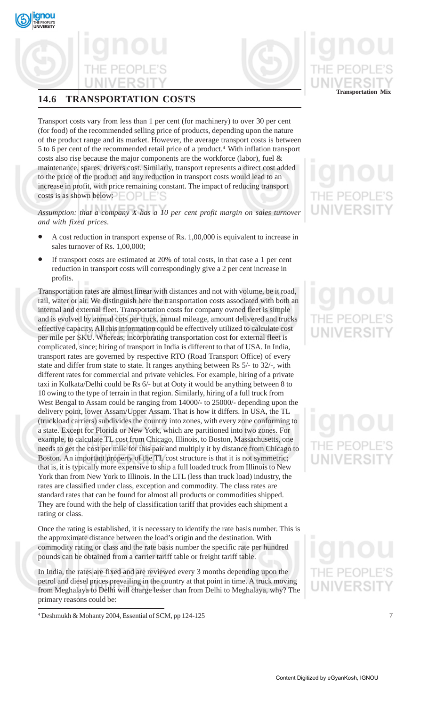

# **14.6 TRANSPORTATION COSTS**

Transport costs vary from less than 1 per cent (for machinery) to over 30 per cent (for food) of the recommended selling price of products, depending upon the nature of the product range and its market. However, the average transport costs is between 5 to 6 per cent of the recommended retail price of a product.<sup>4</sup> With inflation transport costs also rise because the major components are the workforce (labor), fuel & maintenance, spares, drivers cost. Similarly, transport represents a direct cost added to the price of the product and any reduction in transport costs would lead to an increase in profit, with price remaining constant. The impact of reducing transport costs is as shown below:

*Assumption: that a company X has a 10 per cent profit margin on sales turnover and with fixed prices*.

- A cost reduction in transport expense of Rs. 1,00,000 is equivalent to increase in sales turnover of Rs. 1,00,000;
- If transport costs are estimated at 20% of total costs, in that case a 1 per cent reduction in transport costs will correspondingly give a 2 per cent increase in profits.

Transportation rates are almost linear with distances and not with volume, be it road, rail, water or air. We distinguish here the transportation costs associated with both an internal and external fleet. Transportation costs for company owned fleet is simple and is evolved by annual cots per truck, annual mileage, amount delivered and trucks effective capacity. All this information could be effectively utilized to calculate cost per mile per SKU. Whereas, incorporating transportation cost for external fleet is complicated, since; hiring of transport in India is different to that of USA. In India, transport rates are governed by respective RTO (Road Transport Office) of every state and differ from state to state. It ranges anything between Rs 5/- to 32/-, with different rates for commercial and private vehicles. For example, hiring of a private taxi in Kolkata/Delhi could be Rs 6/- but at Ooty it would be anything between 8 to 10 owing to the type of terrain in that region. Similarly, hiring of a full truck from West Bengal to Assam could be ranging from 14000/- to 25000/- depending upon the delivery point, lower Assam/Upper Assam. That is how it differs. In USA, the TL (truckload carriers) subdivides the country into zones, with every zone conforming to a state. Except for Florida or New York, which are partitioned into two zones. For example, to calculate TL cost from Chicago, Illinois, to Boston, Massachusetts, one needs to get the cost per mile for this pair and multiply it by distance from Chicago to Boston. An important property of the TL cost structure is that it is not symmetric; that is, it is typically more expensive to ship a full loaded truck from Illinois to New York than from New York to Illinois. In the LTL (less than truck load) industry, the rates are classified under class, exception and commodity. The class rates are standard rates that can be found for almost all products or commodities shipped. They are found with the help of classification tariff that provides each shipment a rating or class.

Once the rating is established, it is necessary to identify the rate basis number. This is the approximate distance between the load's origin and the destination. With commodity rating or class and the rate basis number the specific rate per hundred pounds can be obtained from a carrier tariff table or freight tariff table.

In India, the rates are fixed and are reviewed every 3 months depending upon the petrol and diesel prices prevailing in the country at that point in time. A truck moving from Meghalaya to Delhi will charge lesser than from Delhi to Meghalaya, why? The primary reasons could be:



# **WIVERSI**

<sup>4</sup> Deshmukh & Mohanty 2004, Essential of SCM, pp 124-125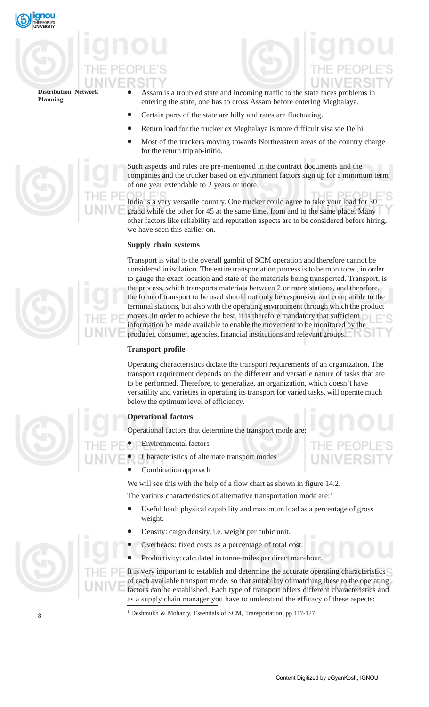

- Assam is a troubled state and incoming traffic to the state faces problems in entering the state, one has to cross Assam before entering Meghalaya.
- Certain parts of the state are hilly and rates are fluctuating.
- Return load for the trucker ex Meghalaya is more difficult visa vie Delhi.
- Most of the truckers moving towards Northeastern areas of the country charge for the return trip ab-initio.

Such aspects and rules are pre-mentioned in the contract documents and the companies and the trucker based on environment factors sign up for a minimum term of one year extendable to 2 years or more.

India is a very versatile country. One trucker could agree to take your load for 30 grand while the other for 45 at the same time, from and to the same place. Many other factors like reliability and reputation aspects are to be considered before hiring, we have seen this earlier on.

# **Supply chain systems**

Transport is vital to the overall gambit of SCM operation and therefore cannot be considered in isolation. The entire transportation process is to be monitored, in order to gauge the exact location and state of the materials being transported. Transport, is the process, which transports materials between 2 or more stations, and therefore, the form of transport to be used should not only be responsive and compatible to the terminal stations, but also with the operating environment through which the product moves. In order to achieve the best, it is therefore mandatory that sufficient information be made available to enable the movement to be monitored by the producer, consumer, agencies, financial institutions and relevant groups.

# **Transport profile**

Operating characteristics dictate the transport requirements of an organization. The transport requirement depends on the different and versatile nature of tasks that are to be performed. Therefore, to generalize, an organization, which doesn't have versatility and varieties in operating its transport for varied tasks, will operate much below the optimum level of efficiency.

# **Operational factors**

Operational factors that determine the transport mode are:

- Environmental factors
- Characteristics of alternate transport modes
	- Combination approach

We will see this with the help of a flow chart as shown in figure 14.2.

The various characteristics of alternative transportation mode are:<sup>1</sup>

- Useful load: physical capability and maximum load as a percentage of gross weight.
- Density: cargo density, i.e. weight per cubic unit.
- Overheads: fixed costs as a percentage of total cost.
- Productivity: calculated in tonne-miles per direct man-hour.

It is very important to establish and determine the accurate operating characteristics of each available transport mode, so that suitability of matching these to the operating factors can be established. Each type of transport offers different characteristics and as a supply chain manager you have to understand the efficacy of these aspects:

<sup>1</sup> Deshmukh & Mohanty, Essentials of SCM, Transportation, pp 117-127

8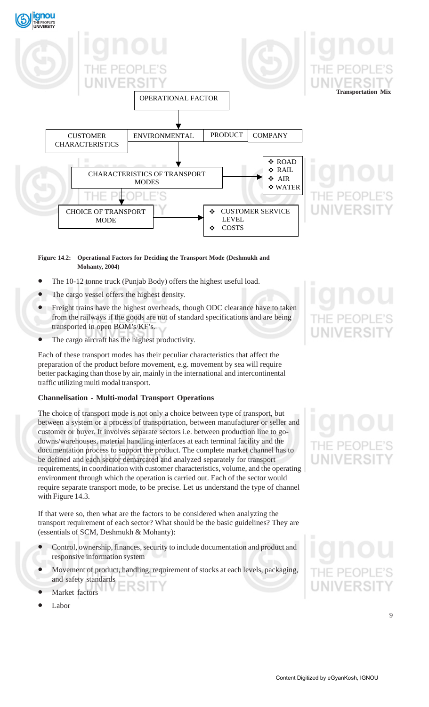

# **Figure 14.2: Operational Factors for Deciding the Transport Mode (Deshmukh and Mohanty, 2004)**

- The 10-12 tonne truck (Punjab Body) offers the highest useful load.
- The cargo vessel offers the highest density.
- Freight trains have the highest overheads, though ODC clearance have to taken from the railways if the goods are not of standard specifications and are being transported in open BOM's/KF's.
- The cargo aircraft has the highest productivity.

Each of these transport modes has their peculiar characteristics that affect the preparation of the product before movement, e.g. movement by sea will require better packaging than those by air, mainly in the international and intercontinental traffic utilizing multi modal transport.

# **Channelisation - Multi-modal Transport Operations**

The choice of transport mode is not only a choice between type of transport, but between a system or a process of transportation, between manufacturer or seller and customer or buyer. It involves separate sectors i.e. between production line to godowns/warehouses, material handling interfaces at each terminal facility and the documentation process to support the product. The complete market channel has to be defined and each sector demarcated and analyzed separately for transport requirements, in coordination with customer characteristics, volume, and the operating environment through which the operation is carried out. Each of the sector would require separate transport mode, to be precise. Let us understand the type of channel with Figure 14.3.

If that were so, then what are the factors to be considered when analyzing the transport requirement of each sector? What should be the basic guidelines? They are (essentials of SCM, Deshmukh & Mohanty):

- Control, ownership, finances, security to include documentation and product and responsive information system
- Movement of product, handling, requirement of stocks at each levels, packaging, and safety standards
- Market factors
- Labor

# **JNIVERSI**

9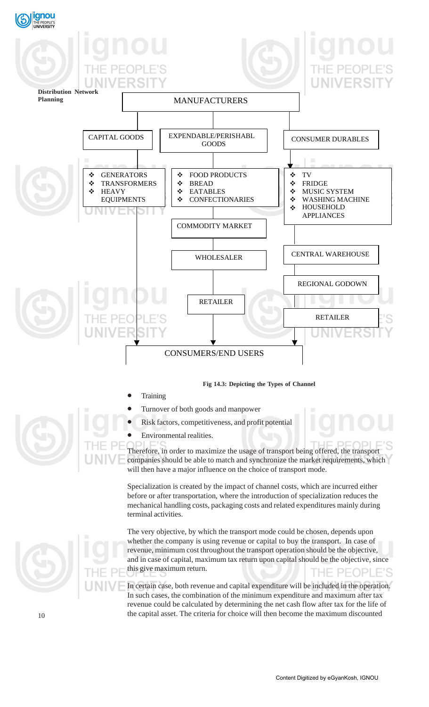

**Fig 14.3: Depicting the Types of Channel**

- **Training** 
	- Turnover of both goods and manpower
- Risk factors, competitiveness, and profit potential
- Environmental realities.

Therefore, in order to maximize the usage of transport being offered, the transport companies should be able to match and synchronize the market requirements, which will then have a major influence on the choice of transport mode.

Specialization is created by the impact of channel costs, which are incurred either before or after transportation, where the introduction of specialization reduces the mechanical handling costs, packaging costs and related expenditures mainly during terminal activities.

The very objective, by which the transport mode could be chosen, depends upon whether the company is using revenue or capital to buy the transport. In case of revenue, minimum cost throughout the transport operation should be the objective, and in case of capital, maximum tax return upon capital should be the objective, since this give maximum return. THE PEOPL

In certain case, both revenue and capital expenditure will be included in the operation. In such cases, the combination of the minimum expenditure and maximum after tax revenue could be calculated by determining the net cash flow after tax for the life of the capital asset. The criteria for choice will then become the maximum discounted

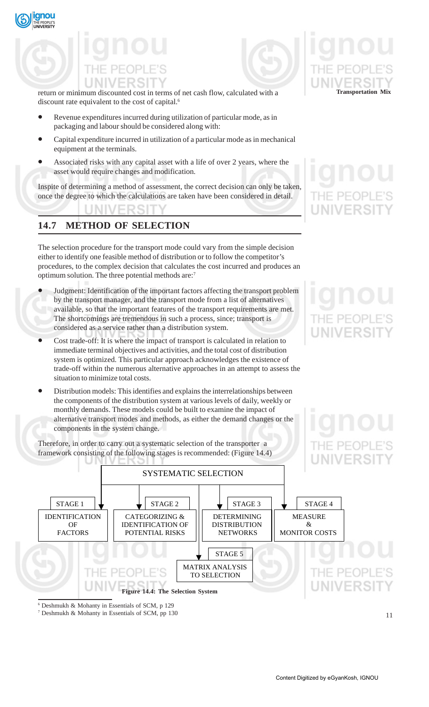



return or minimum discounted cost in terms of net cash flow, calculated with a **Transportation Mix** discount rate equivalent to the cost of capital.<sup>6</sup>

- Revenue expenditures incurred during utilization of particular mode, as in packaging and labour should be considered along with:
- Capital expenditure incurred in utilization of a particular mode as in mechanical equipment at the terminals.
- Associated risks with any capital asset with a life of over 2 years, where the asset would require changes and modification.

Inspite of determining a method of assessment, the correct decision can only be taken, once the degree to which the calculations are taken have been considered in detail.

# **14.7 METHOD OF SELECTION**

The selection procedure for the transport mode could vary from the simple decision either to identify one feasible method of distribution or to follow the competitor's procedures, to the complex decision that calculates the cost incurred and produces an optimum solution. The three potential methods are:7

- Judgment: Identification of the important factors affecting the transport problem by the transport manager, and the transport mode from a list of alternatives available, so that the important features of the transport requirements are met. The shortcomings are tremendous in such a process, since; transport is considered as a service rather than a distribution system.
- Cost trade-off: It is where the impact of transport is calculated in relation to immediate terminal objectives and activities, and the total cost of distribution system is optimized. This particular approach acknowledges the existence of trade-off within the numerous alternative approaches in an attempt to assess the situation to minimize total costs.
- Distribution models: This identifies and explains the interrelationships between the components of the distribution system at various levels of daily, weekly or monthly demands. These models could be built to examine the impact of alternative transport modes and methods, as either the demand changes or the components in the system change.

Therefore, in order to carry out a systematic selection of the transporter a framework consisting of the following stages is recommended: (Figure 14.4)



# IF PFOP **NIVERSI**





7 Deshmukh & Mohanty in Essentials of SCM, pp 130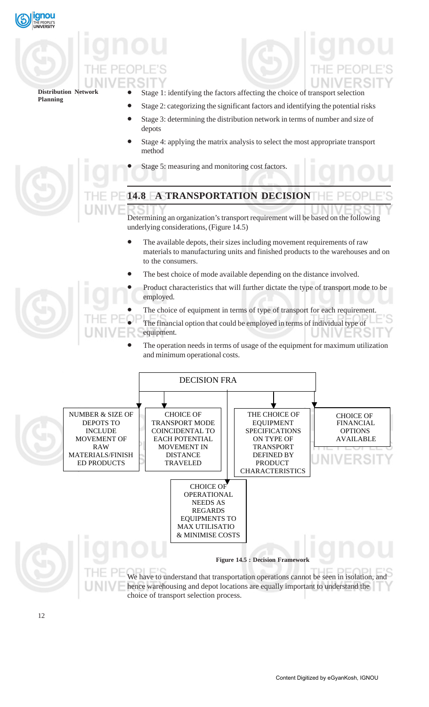

- Stage 1: identifying the factors affecting the choice of transport selection
- Stage 2: categorizing the significant factors and identifying the potential risks
- Stage 3: determining the distribution network in terms of number and size of depots
- Stage 4: applying the matrix analysis to select the most appropriate transport method
- Stage 5: measuring and monitoring cost factors.



# **14.8 A TRANSPORTATION DECISION**

Determining an organization's transport requirement will be based on the following underlying considerations, (Figure 14.5)

- The available depots, their sizes including movement requirements of raw materials to manufacturing units and finished products to the warehouses and on to the consumers.
- The best choice of mode available depending on the distance involved.
- Product characteristics that will further dictate the type of transport mode to be employed.
- The choice of equipment in terms of type of transport for each requirement.
- The financial option that could be employed in terms of individual type of equipment.
	- The operation needs in terms of usage of the equipment for maximum utilization and minimum operational costs.

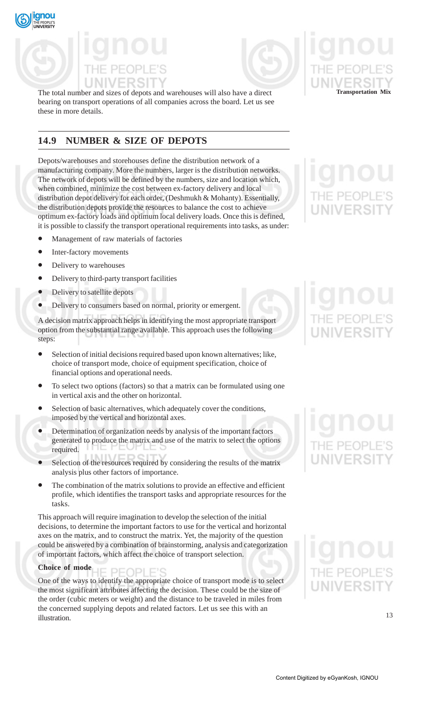



The total number and sizes of depots and warehouses will also have a direct **Transportation Mix** bearing on transport operations of all companies across the board. Let us see these in more details.

# **14.9 NUMBER & SIZE OF DEPOTS**

Depots/warehouses and storehouses define the distribution network of a manufacturing company. More the numbers, larger is the distribution networks. The network of depots will be defined by the numbers, size and location which, when combined, minimize the cost between ex-factory delivery and local distribution depot delivery for each order, (Deshmukh & Mohanty). Essentially, the distribution depots provide the resources to balance the cost to achieve optimum ex-factory loads and optimum local delivery loads. Once this is defined, it is possible to classify the transport operational requirements into tasks, as under:

- Management of raw materials of factories
- Inter-factory movements
- Delivery to warehouses
- Delivery to third-party transport facilities
- Delivery to satellite depots
- Delivery to consumers based on normal, priority or emergent.

A decision matrix approach helps in identifying the most appropriate transport option from the substantial range available. This approach uses the following steps:

- Selection of initial decisions required based upon known alternatives; like, choice of transport mode, choice of equipment specification, choice of financial options and operational needs.
- To select two options (factors) so that a matrix can be formulated using one in vertical axis and the other on horizontal.
- Selection of basic alternatives, which adequately cover the conditions, imposed by the vertical and horizontal axes.
- Determination of organization needs by analysis of the important factors generated to produce the matrix and use of the matrix to select the options required.
- Selection of the resources required by considering the results of the matrix analysis plus other factors of importance.
- The combination of the matrix solutions to provide an effective and efficient profile, which identifies the transport tasks and appropriate resources for the tasks.

This approach will require imagination to develop the selection of the initial decisions, to determine the important factors to use for the vertical and horizontal axes on the matrix, and to construct the matrix. Yet, the majority of the question could be answered by a combination of brainstorming, analysis and categorization of important factors, which affect the choice of transport selection.

# **Choice of mode** PEOPLE'S

One of the ways to identify the appropriate choice of transport mode is to select the most significant attributes affecting the decision. These could be the size of the order (cubic meters or weight) and the distance to be traveled in miles from the concerned supplying depots and related factors. Let us see this with an illustration.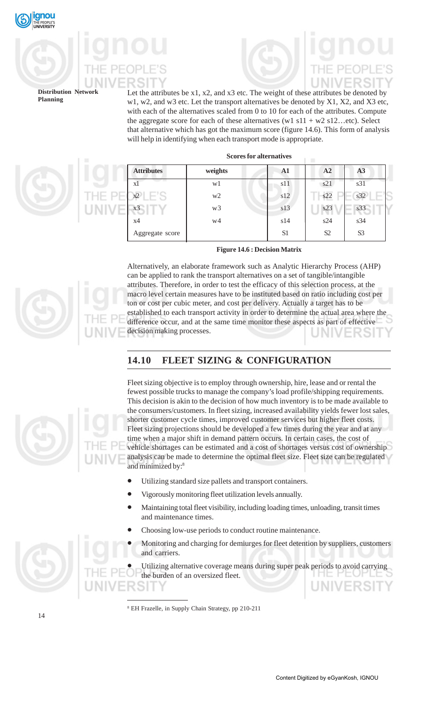

Let the attributes be x1, x2, and x3 etc. The weight of these attributes be denoted by w1, w2, and w3 etc. Let the transport alternatives be denoted by X1, X2, and X3 etc, with each of the alternatives scaled from 0 to 10 for each of the attributes. Compute the aggregate score for each of these alternatives (w1  $s11 + w2 s12$ ...etc). Select that alternative which has got the maximum score (figure 14.6). This form of analysis will help in identifying when each transport mode is appropriate.

**Scores for alternatives**

| <b>Attributes</b> | weights        | A1             | A2             | A <sub>3</sub> |
|-------------------|----------------|----------------|----------------|----------------|
| X.                | wl             | s11            | s21            | s31            |
| $x^2$             | w <sub>2</sub> | s12            | s22            | s32            |
| x3                | w <sub>3</sub> | s13            | s23            | s33            |
| x4                | w4             | s14            | s24            | s34            |
| Aggregate score   |                | S <sub>1</sub> | S <sub>2</sub> | S <sub>3</sub> |

**Figure 14.6 : Decision Matrix**

Alternatively, an elaborate framework such as Analytic Hierarchy Process (AHP) can be applied to rank the transport alternatives on a set of tangible/intangible attributes. Therefore, in order to test the efficacy of this selection process, at the macro level certain measures have to be instituted based on ratio including cost per ton or cost per cubic meter, and cost per delivery. Actually a target has to be established to each transport activity in order to determine the actual area where the difference occur, and at the same time monitor these aspects as part of effective decision making processes.

# **14.10 FLEET SIZING & CONFIGURATION**



- Utilizing standard size pallets and transport containers.
- Vigorously monitoring fleet utilization levels annually.
- Maintaining total fleet visibility, including loading times, unloading, transit times and maintenance times.
- Choosing low-use periods to conduct routine maintenance.
- Monitoring and charging for demiurges for fleet detention by suppliers, customers and carriers.



8 EH Frazelle, in Supply Chain Strategy, pp 210-211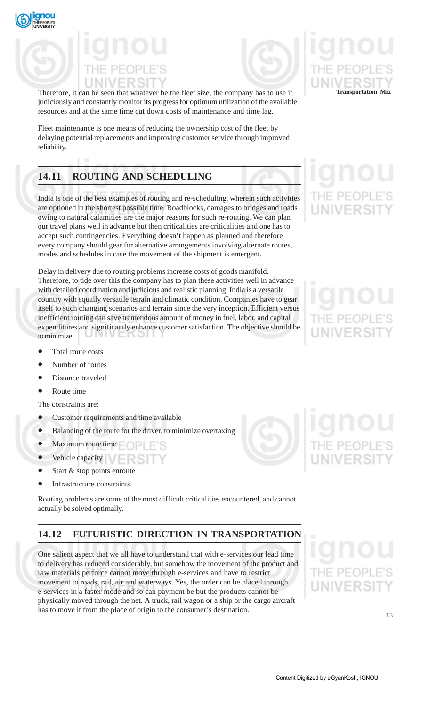



Therefore, it can be seen that whatever be the fleet size, the company has to use it **Transportation Mix** judiciously and constantly monitor its progress for optimum utilization of the available resources and at the same time cut down costs of maintenance and time lag.

Fleet maintenance is one means of reducing the ownership cost of the fleet by delaying potential replacements and improving customer service through improved reliability.

# **14.11 ROUTING AND SCHEDULING**

India is one of the best examples of routing and re-scheduling, wherein such activities are optioned in the shortest possible time. Roadblocks, damages to bridges and roads owing to natural calamities are the major reasons for such re-routing. We can plan our travel plans well in advance but then criticalities are criticalities and one has to accept such contingencies. Everything doesn't happen as planned and therefore every company should gear for alternative arrangements involving alternate routes, modes and schedules in case the movement of the shipment is emergent.

Delay in delivery due to routing problems increase costs of goods manifold. Therefore, to tide over this the company has to plan these activities well in advance with detailed coordination and judicious and realistic planning. India is a versatile country with equally versatile terrain and climatic condition. Companies have to gear itself to such changing scenarios and terrain since the very inception. Efficient versus inefficient routing can save tremendous amount of money in fuel, labor, and capital expenditures and significantly enhance customer satisfaction. The objective should be to minimize: 1 I V E IN ƏH

- Total route costs
- Number of routes
- Distance traveled
- Route time

The constraints are:

- Customer requirements and time available
- Balancing of the route for the driver, to minimize overtaxing
- Maximum route time  $\Box$
- Vehicle capacity
- Start & stop points enroute
- Infrastructure constraints.

Routing problems are some of the most difficult criticalities encountered, and cannot actually be solved optimally.

# **14.12 FUTURISTIC DIRECTION IN TRANSPORTATION**

One salient aspect that we all have to understand that with e-services our lead time to delivery has reduced considerably, but somehow the movement of the product and raw materials perforce cannot move through e-services and have to restrict movement to roads, rail, air and waterways. Yes, the order can be placed through e-services in a faster mode and so can payment be but the products cannot be physically moved through the net. A truck, rail wagon or a ship or the cargo aircraft has to move it from the place of origin to the consumer's destination.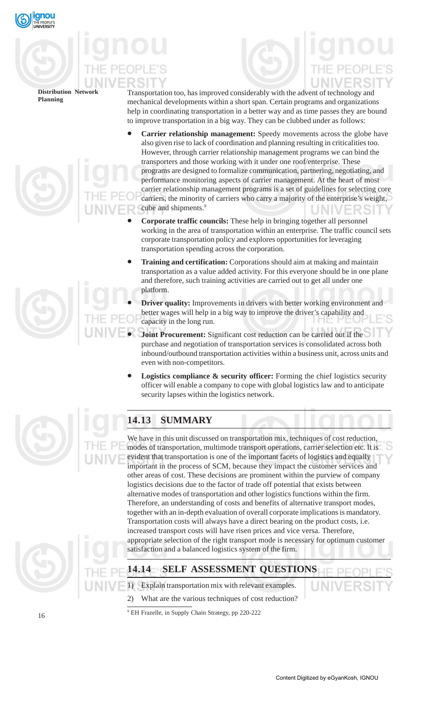

Transportation too, has improved considerably with the advent of technology and mechanical developments within a short span. Certain programs and organizations help in coordinating transportation in a better way and as time passes they are bound

- to improve transportation in a big way. They can be clubbed under as follows: • **Carrier relationship management:** Speedy movements across the globe have also given rise to lack of coordination and planning resulting in criticalities too. However, through carrier relationship management programs we can bind the transporters and those working with it under one roof/enterprise. These programs are designed to formalize communication, partnering, negotiating, and performance monitoring aspects of carrier management. At the heart of most carrier relationship management programs is a set of guidelines for selecting core carriers, the minority of carriers who carry a majority of the enterprise's weight, cube and shipments.<sup>9</sup>
- **Corporate traffic councils:** These help in bringing together all personnel working in the area of transportation within an enterprise. The traffic council sets corporate transportation policy and explores opportunities for leveraging transportation spending across the corporation.
- **Training and certification:** Corporations should aim at making and maintain transportation as a value added activity. For this everyone should be in one plane and therefore, such training activities are carried out to get all under one platform.
- **Driver quality:** Improvements in drivers with better working environment and better wages will help in a big way to improve the driver's capability and capacity in the long run.
- **Joint Procurement:** Significant cost reduction can be carried out if the purchase and negotiation of transportation services is consolidated across both inbound/outbound transportation activities within a business unit, across units and even with non-competitors.
- Logistics compliance & security officer: Forming the chief logistics security officer will enable a company to cope with global logistics law and to anticipate security lapses within the logistics network.



# **14.13 SUMMARY**

We have in this unit discussed on transportation mix, techniques of cost reduction, modes of transportation, multimode transport operations, carrier selection etc. It is evident that transportation is one of the important facets of logistics and equally important in the process of SCM, because they impact the customer services and other areas of cost. These decisions are prominent within the purview of company logistics decisions due to the factor of trade off potential that exists between alternative modes of transportation and other logistics functions within the firm. Therefore, an understanding of costs and benefits of alternative transport modes, together with an in-depth evaluation of overall corporate implications is mandatory. Transportation costs will always have a direct bearing on the product costs, i.e. increased transport costs will have risen prices and vice versa. Therefore, appropriate selection of the right transport mode is necessary for optimum customer satisfaction and a balanced logistics system of the firm.





Explain transportation mix with relevant examples.

2) What are the various techniques of cost reduction?

9 EH Frazelle, in Supply Chain Strategy, pp 220-222